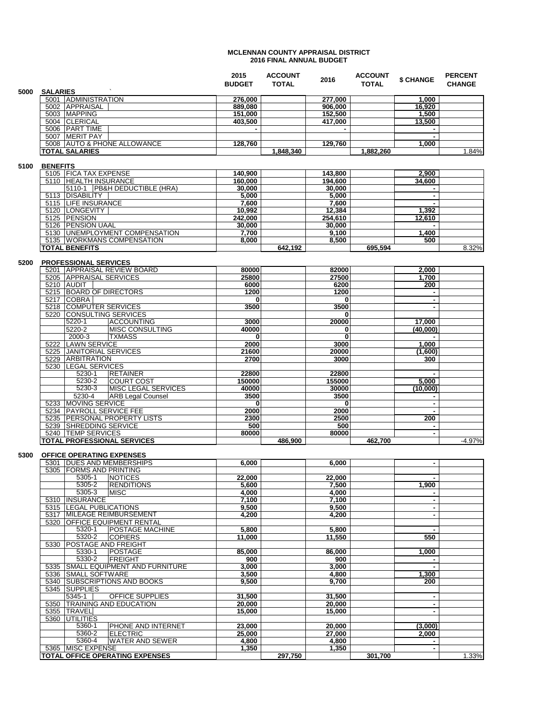## **MCLENNAN COUNTY APPRAISAL DISTRICT 2016 FINAL ANNUAL BUDGET**

|      |                               | 2015<br><b>BUDGET</b> | <b>ACCOUNT</b><br><b>TOTAL</b> | 2016    | <b>ACCOUNT</b><br><b>TOTAL</b> | \$ CHANGE | <b>PERCENT</b><br><b>CHANGE</b> |
|------|-------------------------------|-----------------------|--------------------------------|---------|--------------------------------|-----------|---------------------------------|
| 5000 | <b>SALARIES</b>               |                       |                                |         |                                |           |                                 |
|      | <b>ADMINISTRATION</b><br>5001 | 276.000               |                                | 277.000 |                                | 000.      |                                 |
|      | APPRAISAL<br>5002             | 889,080               |                                | 906.000 |                                | 16,920    |                                 |
|      | <b>IMAPPING</b><br>5003       | 151,000               |                                | 152,500 |                                | 1.500     |                                 |
|      | 5004 CLERICAL                 | 403,500               |                                | 417,000 |                                | 13,500    |                                 |
|      | <b>PART TIME</b><br>5006      |                       |                                |         |                                |           |                                 |
|      | <b>MERIT PAY</b><br>5007      |                       |                                |         |                                |           |                                 |
|      | 5008 AUTO & PHONE ALLOWANCE   | 128.760               |                                | 129.760 |                                | 000, l    |                                 |
|      | <b>TOTAL SALARIES</b>         |                       | 1,848,340                      |         | 1,882,260                      |           | 1.84%                           |
|      |                               |                       |                                |         |                                |           |                                 |

## **5100 BENEFITS**

|      | 5105 FICA TAX EXPENSE            | 140,900 |         | 143,800 |         | 2,900  |       |
|------|----------------------------------|---------|---------|---------|---------|--------|-------|
|      | 5110 HEALTH INSURANCE            | 160.000 |         | 194.600 |         | 34.600 |       |
|      | 5110-1 PB&H DEDUCTIBLE (HRA)     | 30,000  |         | 30,000  |         |        |       |
| 5113 | <b>IDISABILITY</b>               | 5,000   |         | 5,000   |         |        |       |
|      | 5115 ILIFE INSURANCE             | 7,600   |         | 7,600   |         |        |       |
|      | 5120 LONGEVITY                   | 10,992  |         | 12,384  |         | 1,392  |       |
|      | 5125 PENSION                     | 242,000 |         | 254.610 |         | 12,610 |       |
|      | 5126 PENSION UAAL                | 30,000  |         | 30,000  |         |        |       |
| 5130 | <b>UNEMPLOYMENT COMPENSATION</b> | 7.700   |         | 9,100   |         | ,400   |       |
|      | 5135 WORKMANS COMPENSATION       | 8.000   |         | 8.500   |         | 500    |       |
|      | <b>ITOTAL BENEFITS</b>           |         | 642.192 |         | 695.594 |        | 8.32% |

## **5200 PROFESSIONAL SERVICES**

| 5201 APPRAISAL REVIEW BOARD           | 80000  |         | 82000  | 2,000    |     |          |
|---------------------------------------|--------|---------|--------|----------|-----|----------|
| 5205 IAPPRAISAL SERVICES              | 25800  |         | 27500  | 1.700    |     |          |
| 5210 AUDIT                            | 6000   |         | 6200   |          | 200 |          |
| 5215 BOARD OF DIRECTORS               | 1200   |         | 1200   |          |     |          |
| <b>COBRA</b><br>5217                  | 0      |         | 0      |          |     |          |
| 5218 COMPUTER SERVICES                | 3500   |         | 3500   |          |     |          |
| 5220 CONSULTING SERVICES              |        |         | 0      |          |     |          |
| 5220-1<br><b>ACCOUNTING</b>           | 3000   |         | 20000  | 17,000   |     |          |
| <b>MISC CONSULTING</b><br>5220-2      | 40000  |         | 0      | (40,000) |     |          |
| <b>TXMASS</b><br>2000-3               |        |         | 0      |          |     |          |
| <b>LAWN SERVICE</b><br>5222           | 2000   |         | 3000   | 1.000    |     |          |
| <b>JANITORIAL SERVICES</b><br>5225    | 21600  |         | 20000  | (1.600)  |     |          |
| <b>LARBITRATION</b><br>5229           | 2700   |         | 3000   |          | 300 |          |
| 5230 ILEGAL SERVICES                  |        |         |        |          |     |          |
| 5230-1<br><b>RETAINER</b>             | 22800  |         | 22800  |          |     |          |
| 5230-2<br><b>COURT COST</b>           | 150000 |         | 155000 | 5.000    |     |          |
| <b>IMISC LEGAL SERVICES</b><br>5230-3 | 40000  |         | 30000  | (10,000) |     |          |
| <b>ARB Legal Counsel</b><br>5230-4    | 3500   |         | 3500   |          |     |          |
| 5233 MOVING SERVICE                   |        |         | 0      |          |     |          |
| 5234 PAYROLL SERVICE FEE              | 2000   |         | 2000   |          |     |          |
| 5235 PERSONAL PROPERTY LISTS          | 2300   |         | 2500   |          | 200 |          |
| 5239   SHREDDING SERVICE              | 500    |         | 500    |          |     |          |
| 5240 <b>ITEMP SERVICES</b>            | 80000  |         | 80000  |          |     |          |
| <b>TOTAL PROFESSIONAL SERVICES</b>    |        | 486.900 |        | 462.700  |     | $-4.97%$ |

## **5300 OFFICE OPERATING EXPENSES**

| <b>DUES AND MEMBERSHIPS</b><br>5301     | 6,000  |         | 6,000  |         |       |
|-----------------------------------------|--------|---------|--------|---------|-------|
| 5305<br><b>FORMS AND PRINTING</b>       |        |         |        |         |       |
| 5305-1<br><b>NOTICES</b>                | 22,000 |         | 22,000 | ۰       |       |
| 5305-2<br><b>RENDITIONS</b>             | 5,600  |         | 7,500  | 1,900   |       |
| 5305-3<br><b>MISC</b>                   | 4,000  |         | 4,000  |         |       |
| <b>INSURANCE</b><br>5310                | 7,100  |         | 7,100  |         |       |
| <b>LEGAL PUBLICATIONS</b><br>5315       | 9.500  |         | 9.500  | ۰       |       |
| <b>IMILEAGE REIMBURSEMENT</b><br>5317   | 4,200  |         | 4,200  |         |       |
| 5320<br><b>IOFFICE EQUIPMENT RENTAL</b> |        |         |        |         |       |
| POSTAGE MACHINE<br>5320-1               | 5,800  |         | 5,800  |         |       |
| 5320-2<br><b>COPIERS</b>                | 11.000 |         | 11,550 | 550     |       |
| <b>POSTAGE AND FREIGHT</b><br>5330      |        |         |        |         |       |
| 5330-1<br><b>POSTAGE</b>                | 85,000 |         | 86,000 | 1,000   |       |
| 5330-2<br><b>IFREIGHT</b>               | 900    |         | 900    |         |       |
| SMALL EQUIPMENT AND FURNITURE<br>5335   | 3,000  |         | 3,000  | ۰       |       |
| <b>SMALL SOFTWARE</b><br>5336           | 3,500  |         | 4,800  | 1,300   |       |
| <b>ISUBSCRIPTIONS AND BOOKS</b><br>5340 | 9.500  |         | 9,700  | 200     |       |
| 5345<br><b>SUPPLIES</b>                 |        |         |        |         |       |
| <b>OFFICE SUPPLIES</b><br>5345-1        | 31,500 |         | 31,500 | ۰       |       |
| <b>TRAINING AND EDUCATION</b><br>5350   | 20,000 |         | 20,000 | ۰       |       |
| <b>TRAVEL</b><br>5355                   | 15,000 |         | 15,000 |         |       |
| 5360<br><b>UTILITIES</b>                |        |         |        |         |       |
| 5360-1<br>PHONE AND INTERNET            | 23,000 |         | 20,000 | (3,000) |       |
| 5360-2<br><b>ELECTRIC</b>               | 25,000 |         | 27,000 | 2,000   |       |
| 5360-4<br><b>WATER AND SEWER</b>        | 4,800  |         | 4,800  |         |       |
| <b>IMISC EXPENSE</b><br>5365            | 1.350  |         | 1,350  |         |       |
| TOTAL OFFICE OPERATING EXPENSES         |        | 297,750 |        | 301,700 | 1.33% |